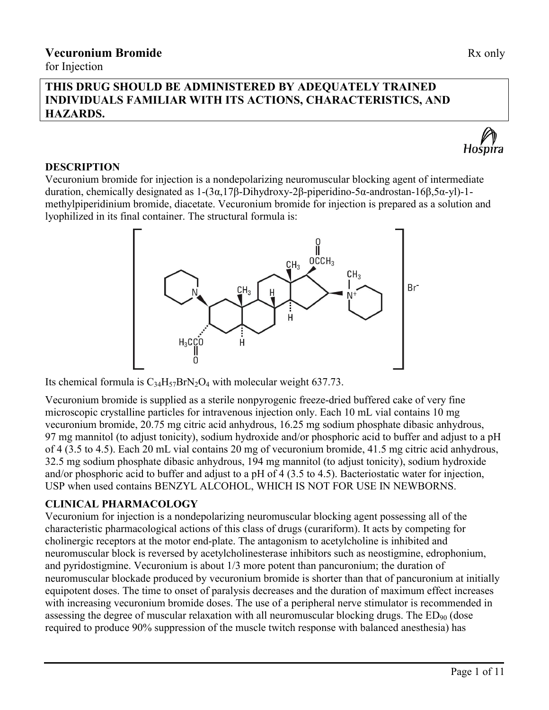for Injection

# **THIS DRUG SHOULD BE ADMINISTERED BY ADEQUATELY TRAINED INDIVIDUALS FAMILIAR WITH ITS ACTIONS, CHARACTERISTICS, AND HAZARDS.**

**Hospira** 

#### **DESCRIPTION**

Vecuronium bromide for injection is a nondepolarizing neuromuscular blocking agent of intermediate duration, chemically designated as 1-(3α,17β-Dihydroxy-2β-piperidino-5α-androstan-16β,5α-yl)-1 methylpiperidinium bromide, diacetate. Vecuronium bromide for injection is prepared as a solution and lyophilized in its final container. The structural formula is:



Its chemical formula is  $C_{34}H_{57}BrN_2O_4$  with molecular weight 637.73.

Vecuronium bromide is supplied as a sterile nonpyrogenic freeze-dried buffered cake of very fine microscopic crystalline particles for intravenous injection only. Each 10 mL vial contains 10 mg vecuronium bromide, 20.75 mg citric acid anhydrous, 16.25 mg sodium phosphate dibasic anhydrous, 97 mg mannitol (to adjust tonicity), sodium hydroxide and/or phosphoric acid to buffer and adjust to a pH of 4 (3.5 to 4.5). Each 20 mL vial contains 20 mg of vecuronium bromide, 41.5 mg citric acid anhydrous, 32.5 mg sodium phosphate dibasic anhydrous, 194 mg mannitol (to adjust tonicity), sodium hydroxide and/or phosphoric acid to buffer and adjust to a pH of 4 (3.5 to 4.5). Bacteriostatic water for injection, USP when used contains BENZYL ALCOHOL, WHICH IS NOT FOR USE IN NEWBORNS.

## **CLINICAL PHARMACOLOGY**

Vecuronium for injection is a nondepolarizing neuromuscular blocking agent possessing all of the characteristic pharmacological actions of this class of drugs (curariform). It acts by competing for cholinergic receptors at the motor end-plate. The antagonism to acetylcholine is inhibited and neuromuscular block is reversed by acetylcholinesterase inhibitors such as neostigmine, edrophonium, and pyridostigmine. Vecuronium is about 1/3 more potent than pancuronium; the duration of neuromuscular blockade produced by vecuronium bromide is shorter than that of pancuronium at initially equipotent doses. The time to onset of paralysis decreases and the duration of maximum effect increases with increasing vecuronium bromide doses. The use of a peripheral nerve stimulator is recommended in assessing the degree of muscular relaxation with all neuromuscular blocking drugs. The  $ED_{90}$  (dose required to produce 90% suppression of the muscle twitch response with balanced anesthesia) has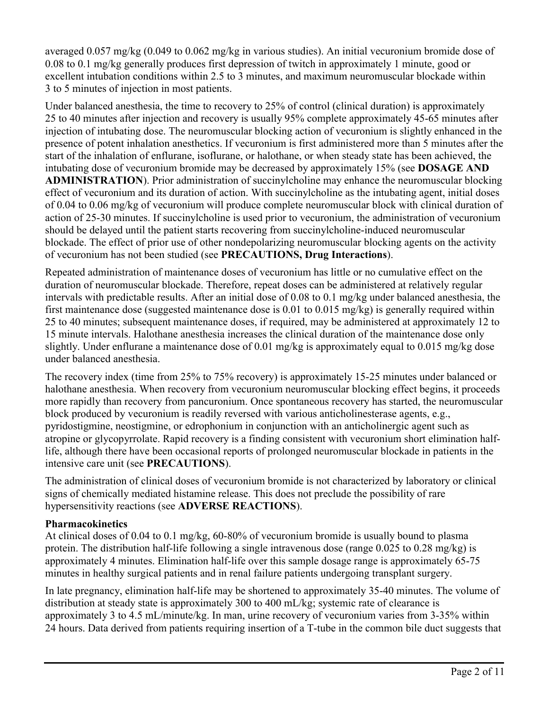averaged 0.057 mg/kg (0.049 to 0.062 mg/kg in various studies). An initial vecuronium bromide dose of 0.08 to 0.1 mg/kg generally produces first depression of twitch in approximately 1 minute, good or excellent intubation conditions within 2.5 to 3 minutes, and maximum neuromuscular blockade within 3 to 5 minutes of injection in most patients.

Under balanced anesthesia, the time to recovery to 25% of control (clinical duration) is approximately 25 to 40 minutes after injection and recovery is usually 95% complete approximately 45-65 minutes after injection of intubating dose. The neuromuscular blocking action of vecuronium is slightly enhanced in the presence of potent inhalation anesthetics. If vecuronium is first administered more than 5 minutes after the start of the inhalation of enflurane, isoflurane, or halothane, or when steady state has been achieved, the intubating dose of vecuronium bromide may be decreased by approximately 15% (see **DOSAGE AND ADMINISTRATION**). Prior administration of succinylcholine may enhance the neuromuscular blocking effect of vecuronium and its duration of action. With succinylcholine as the intubating agent, initial doses of 0.04 to 0.06 mg/kg of vecuronium will produce complete neuromuscular block with clinical duration of action of 25-30 minutes. If succinylcholine is used prior to vecuronium, the administration of vecuronium should be delayed until the patient starts recovering from succinylcholine-induced neuromuscular blockade. The effect of prior use of other nondepolarizing neuromuscular blocking agents on the activity of vecuronium has not been studied (see **PRECAUTIONS, Drug Interactions**).

Repeated administration of maintenance doses of vecuronium has little or no cumulative effect on the duration of neuromuscular blockade. Therefore, repeat doses can be administered at relatively regular intervals with predictable results. After an initial dose of 0.08 to 0.1 mg/kg under balanced anesthesia, the first maintenance dose (suggested maintenance dose is 0.01 to 0.015 mg/kg) is generally required within 25 to 40 minutes; subsequent maintenance doses, if required, may be administered at approximately 12 to 15 minute intervals. Halothane anesthesia increases the clinical duration of the maintenance dose only slightly. Under enflurane a maintenance dose of 0.01 mg/kg is approximately equal to 0.015 mg/kg dose under balanced anesthesia.

The recovery index (time from 25% to 75% recovery) is approximately 15-25 minutes under balanced or halothane anesthesia. When recovery from vecuronium neuromuscular blocking effect begins, it proceeds more rapidly than recovery from pancuronium. Once spontaneous recovery has started, the neuromuscular block produced by vecuronium is readily reversed with various anticholinesterase agents, e.g., pyridostigmine, neostigmine, or edrophonium in conjunction with an anticholinergic agent such as atropine or glycopyrrolate. Rapid recovery is a finding consistent with vecuronium short elimination halflife, although there have been occasional reports of prolonged neuromuscular blockade in patients in the intensive care unit (see **PRECAUTIONS**).

The administration of clinical doses of vecuronium bromide is not characterized by laboratory or clinical signs of chemically mediated histamine release. This does not preclude the possibility of rare hypersensitivity reactions (see **ADVERSE REACTIONS**).

## **Pharmacokinetics**

At clinical doses of 0.04 to 0.1 mg/kg, 60-80% of vecuronium bromide is usually bound to plasma protein. The distribution half-life following a single intravenous dose (range 0.025 to 0.28 mg/kg) is approximately 4 minutes. Elimination half-life over this sample dosage range is approximately 65-75 minutes in healthy surgical patients and in renal failure patients undergoing transplant surgery.

In late pregnancy, elimination half-life may be shortened to approximately 35-40 minutes. The volume of distribution at steady state is approximately 300 to 400 mL/kg; systemic rate of clearance is approximately 3 to 4.5 mL/minute/kg. In man, urine recovery of vecuronium varies from 3-35% within 24 hours. Data derived from patients requiring insertion of a T-tube in the common bile duct suggests that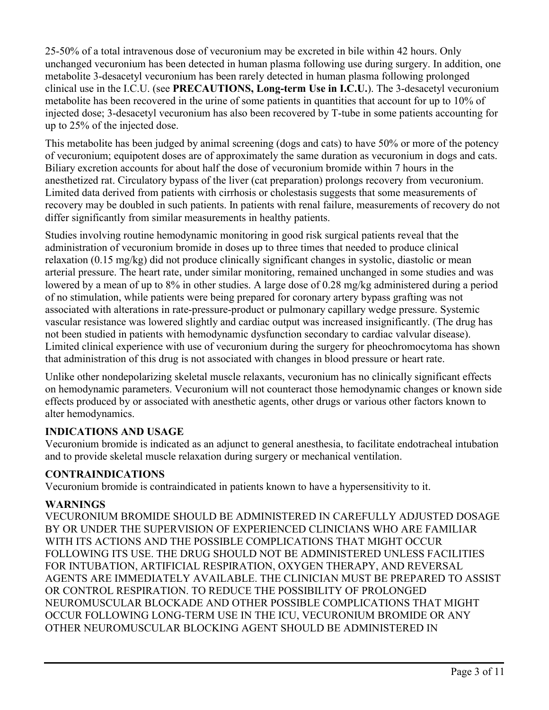25-50% of a total intravenous dose of vecuronium may be excreted in bile within 42 hours. Only unchanged vecuronium has been detected in human plasma following use during surgery. In addition, one metabolite 3-desacetyl vecuronium has been rarely detected in human plasma following prolonged clinical use in the I.C.U. (see **PRECAUTIONS, Long-term Use in I.C.U.**). The 3-desacetyl vecuronium metabolite has been recovered in the urine of some patients in quantities that account for up to 10% of injected dose; 3-desacetyl vecuronium has also been recovered by T-tube in some patients accounting for up to 25% of the injected dose.

This metabolite has been judged by animal screening (dogs and cats) to have 50% or more of the potency of vecuronium; equipotent doses are of approximately the same duration as vecuronium in dogs and cats. Biliary excretion accounts for about half the dose of vecuronium bromide within 7 hours in the anesthetized rat. Circulatory bypass of the liver (cat preparation) prolongs recovery from vecuronium. Limited data derived from patients with cirrhosis or cholestasis suggests that some measurements of recovery may be doubled in such patients. In patients with renal failure, measurements of recovery do not differ significantly from similar measurements in healthy patients.

Studies involving routine hemodynamic monitoring in good risk surgical patients reveal that the administration of vecuronium bromide in doses up to three times that needed to produce clinical relaxation (0.15 mg/kg) did not produce clinically significant changes in systolic, diastolic or mean arterial pressure. The heart rate, under similar monitoring, remained unchanged in some studies and was lowered by a mean of up to 8% in other studies. A large dose of 0.28 mg/kg administered during a period of no stimulation, while patients were being prepared for coronary artery bypass grafting was not associated with alterations in rate-pressure-product or pulmonary capillary wedge pressure. Systemic vascular resistance was lowered slightly and cardiac output was increased insignificantly. (The drug has not been studied in patients with hemodynamic dysfunction secondary to cardiac valvular disease). Limited clinical experience with use of vecuronium during the surgery for pheochromocytoma has shown that administration of this drug is not associated with changes in blood pressure or heart rate.

Unlike other nondepolarizing skeletal muscle relaxants, vecuronium has no clinically significant effects on hemodynamic parameters. Vecuronium will not counteract those hemodynamic changes or known side effects produced by or associated with anesthetic agents, other drugs or various other factors known to alter hemodynamics.

## **INDICATIONS AND USAGE**

Vecuronium bromide is indicated as an adjunct to general anesthesia, to facilitate endotracheal intubation and to provide skeletal muscle relaxation during surgery or mechanical ventilation.

## **CONTRAINDICATIONS**

Vecuronium bromide is contraindicated in patients known to have a hypersensitivity to it.

## **WARNINGS**

VECURONIUM BROMIDE SHOULD BE ADMINISTERED IN CAREFULLY ADJUSTED DOSAGE BY OR UNDER THE SUPERVISION OF EXPERIENCED CLINICIANS WHO ARE FAMILIAR WITH ITS ACTIONS AND THE POSSIBLE COMPLICATIONS THAT MIGHT OCCUR FOLLOWING ITS USE. THE DRUG SHOULD NOT BE ADMINISTERED UNLESS FACILITIES FOR INTUBATION, ARTIFICIAL RESPIRATION, OXYGEN THERAPY, AND REVERSAL AGENTS ARE IMMEDIATELY AVAILABLE. THE CLINICIAN MUST BE PREPARED TO ASSIST OR CONTROL RESPIRATION. TO REDUCE THE POSSIBILITY OF PROLONGED NEUROMUSCULAR BLOCKADE AND OTHER POSSIBLE COMPLICATIONS THAT MIGHT OCCUR FOLLOWING LONG-TERM USE IN THE ICU, VECURONIUM BROMIDE OR ANY OTHER NEUROMUSCULAR BLOCKING AGENT SHOULD BE ADMINISTERED IN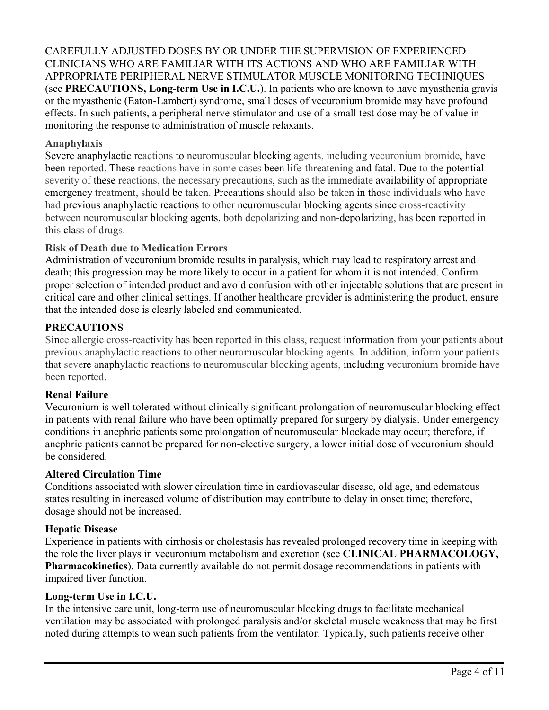CAREFULLY ADJUSTED DOSES BY OR UNDER THE SUPERVISION OF EXPERIENCED CLINICIANS WHO ARE FAMILIAR WITH ITS ACTIONS AND WHO ARE FAMILIAR WITH APPROPRIATE PERIPHERAL NERVE STIMULATOR MUSCLE MONITORING TECHNIQUES (see **PRECAUTIONS, Long-term Use in I.C.U.**). In patients who are known to have myasthenia gravis or the myasthenic (Eaton-Lambert) syndrome, small doses of vecuronium bromide may have profound effects. In such patients, a peripheral nerve stimulator and use of a small test dose may be of value in monitoring the response to administration of muscle relaxants.

#### **Anaphylaxis**

Severe anaphylactic reactions to neuromuscular blocking agents, including vecuronium bromide, have been reported. These reactions have in some cases been life-threatening and fatal. Due to the potential severity of these reactions, the necessary precautions, such as the immediate availability of appropriate emergency treatment, should be taken. Precautions should also be taken in those individuals who have had previous anaphylactic reactions to other neuromuscular blocking agents since cross-reactivity between neuromuscular blocking agents, both depolarizing and non-depolarizing, has been reported in this class of drugs.

## **Risk of Death due to Medication Errors**

Administration of vecuronium bromide results in paralysis, which may lead to respiratory arrest and death; this progression may be more likely to occur in a patient for whom it is not intended. Confirm proper selection of intended product and avoid confusion with other injectable solutions that are present in critical care and other clinical settings. If another healthcare provider is administering the product, ensure that the intended dose is clearly labeled and communicated.

### **PRECAUTIONS**

Since allergic cross-reactivity has been reported in this class, request information from your patients about previous anaphylactic reactions to other neuromuscular blocking agents. In addition, inform your patients that severe anaphylactic reactions to neuromuscular blocking agents, including vecuronium bromide have been reported.

#### **Renal Failure**

Vecuronium is well tolerated without clinically significant prolongation of neuromuscular blocking effect in patients with renal failure who have been optimally prepared for surgery by dialysis. Under emergency conditions in anephric patients some prolongation of neuromuscular blockade may occur; therefore, if anephric patients cannot be prepared for non-elective surgery, a lower initial dose of vecuronium should be considered.

#### **Altered Circulation Time**

Conditions associated with slower circulation time in cardiovascular disease, old age, and edematous states resulting in increased volume of distribution may contribute to delay in onset time; therefore, dosage should not be increased.

## **Hepatic Disease**

Experience in patients with cirrhosis or cholestasis has revealed prolonged recovery time in keeping with the role the liver plays in vecuronium metabolism and excretion (see **CLINICAL PHARMACOLOGY, Pharmacokinetics**). Data currently available do not permit dosage recommendations in patients with impaired liver function.

#### **Long-term Use in I.C.U.**

In the intensive care unit, long-term use of neuromuscular blocking drugs to facilitate mechanical ventilation may be associated with prolonged paralysis and/or skeletal muscle weakness that may be first noted during attempts to wean such patients from the ventilator. Typically, such patients receive other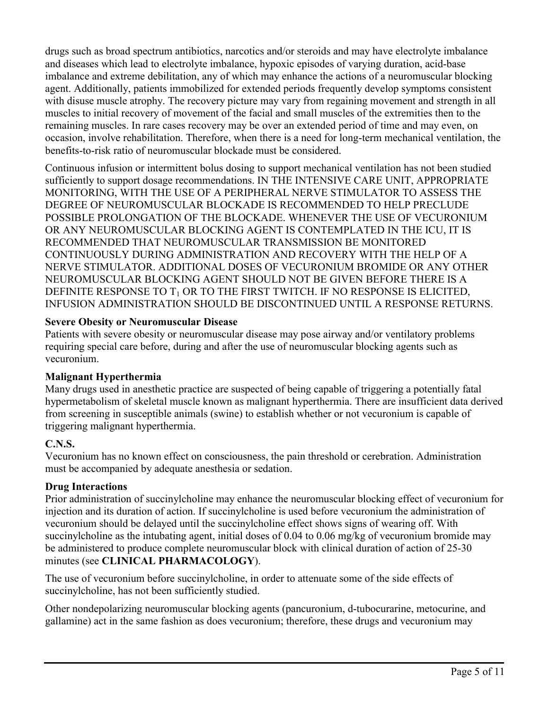drugs such as broad spectrum antibiotics, narcotics and/or steroids and may have electrolyte imbalance and diseases which lead to electrolyte imbalance, hypoxic episodes of varying duration, acid-base imbalance and extreme debilitation, any of which may enhance the actions of a neuromuscular blocking agent. Additionally, patients immobilized for extended periods frequently develop symptoms consistent with disuse muscle atrophy. The recovery picture may vary from regaining movement and strength in all muscles to initial recovery of movement of the facial and small muscles of the extremities then to the remaining muscles. In rare cases recovery may be over an extended period of time and may even, on occasion, involve rehabilitation. Therefore, when there is a need for long-term mechanical ventilation, the benefits-to-risk ratio of neuromuscular blockade must be considered.

Continuous infusion or intermittent bolus dosing to support mechanical ventilation has not been studied sufficiently to support dosage recommendations. IN THE INTENSIVE CARE UNIT, APPROPRIATE MONITORING, WITH THE USE OF A PERIPHERAL NERVE STIMULATOR TO ASSESS THE DEGREE OF NEUROMUSCULAR BLOCKADE IS RECOMMENDED TO HELP PRECLUDE POSSIBLE PROLONGATION OF THE BLOCKADE. WHENEVER THE USE OF VECURONIUM OR ANY NEUROMUSCULAR BLOCKING AGENT IS CONTEMPLATED IN THE ICU, IT IS RECOMMENDED THAT NEUROMUSCULAR TRANSMISSION BE MONITORED CONTINUOUSLY DURING ADMINISTRATION AND RECOVERY WITH THE HELP OF A NERVE STIMULATOR. ADDITIONAL DOSES OF VECURONIUM BROMIDE OR ANY OTHER NEUROMUSCULAR BLOCKING AGENT SHOULD NOT BE GIVEN BEFORE THERE IS A DEFINITE RESPONSE TO  $T_1$  OR TO THE FIRST TWITCH. IF NO RESPONSE IS ELICITED, INFUSION ADMINISTRATION SHOULD BE DISCONTINUED UNTIL A RESPONSE RETURNS.

## **Severe Obesity or Neuromuscular Disease**

Patients with severe obesity or neuromuscular disease may pose airway and/or ventilatory problems requiring special care before, during and after the use of neuromuscular blocking agents such as vecuronium.

## **Malignant Hyperthermia**

Many drugs used in anesthetic practice are suspected of being capable of triggering a potentially fatal hypermetabolism of skeletal muscle known as malignant hyperthermia. There are insufficient data derived from screening in susceptible animals (swine) to establish whether or not vecuronium is capable of triggering malignant hyperthermia.

#### **C.N.S.**

Vecuronium has no known effect on consciousness, the pain threshold or cerebration. Administration must be accompanied by adequate anesthesia or sedation.

#### **Drug Interactions**

Prior administration of succinylcholine may enhance the neuromuscular blocking effect of vecuronium for injection and its duration of action. If succinylcholine is used before vecuronium the administration of vecuronium should be delayed until the succinylcholine effect shows signs of wearing off. With succinylcholine as the intubating agent, initial doses of 0.04 to 0.06 mg/kg of vecuronium bromide may be administered to produce complete neuromuscular block with clinical duration of action of 25-30 minutes (see **CLINICAL PHARMACOLOGY**).

The use of vecuronium before succinylcholine, in order to attenuate some of the side effects of succinylcholine, has not been sufficiently studied.

Other nondepolarizing neuromuscular blocking agents (pancuronium, d-tubocurarine, metocurine, and gallamine) act in the same fashion as does vecuronium; therefore, these drugs and vecuronium may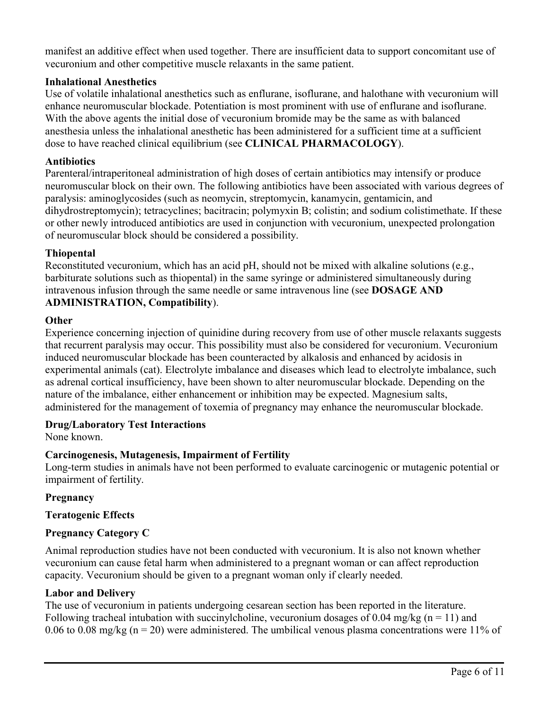manifest an additive effect when used together. There are insufficient data to support concomitant use of vecuronium and other competitive muscle relaxants in the same patient.

### **Inhalational Anesthetics**

Use of volatile inhalational anesthetics such as enflurane, isoflurane, and halothane with vecuronium will enhance neuromuscular blockade. Potentiation is most prominent with use of enflurane and isoflurane. With the above agents the initial dose of vecuronium bromide may be the same as with balanced anesthesia unless the inhalational anesthetic has been administered for a sufficient time at a sufficient dose to have reached clinical equilibrium (see **CLINICAL PHARMACOLOGY**).

#### **Antibiotics**

Parenteral/intraperitoneal administration of high doses of certain antibiotics may intensify or produce neuromuscular block on their own. The following antibiotics have been associated with various degrees of paralysis: aminoglycosides (such as neomycin, streptomycin, kanamycin, gentamicin, and dihydrostreptomycin); tetracyclines; bacitracin; polymyxin B; colistin; and sodium colistimethate. If these or other newly introduced antibiotics are used in conjunction with vecuronium, unexpected prolongation of neuromuscular block should be considered a possibility.

### **Thiopental**

Reconstituted vecuronium, which has an acid pH, should not be mixed with alkaline solutions (e.g., barbiturate solutions such as thiopental) in the same syringe or administered simultaneously during intravenous infusion through the same needle or same intravenous line (see **DOSAGE AND ADMINISTRATION, Compatibility**).

#### **Other**

Experience concerning injection of quinidine during recovery from use of other muscle relaxants suggests that recurrent paralysis may occur. This possibility must also be considered for vecuronium. Vecuronium induced neuromuscular blockade has been counteracted by alkalosis and enhanced by acidosis in experimental animals (cat). Electrolyte imbalance and diseases which lead to electrolyte imbalance, such as adrenal cortical insufficiency, have been shown to alter neuromuscular blockade. Depending on the nature of the imbalance, either enhancement or inhibition may be expected. Magnesium salts, administered for the management of toxemia of pregnancy may enhance the neuromuscular blockade.

## **Drug/Laboratory Test Interactions**

None known.

## **Carcinogenesis, Mutagenesis, Impairment of Fertility**

Long-term studies in animals have not been performed to evaluate carcinogenic or mutagenic potential or impairment of fertility.

## **Pregnancy**

## **Teratogenic Effects**

#### **Pregnancy Category C**

Animal reproduction studies have not been conducted with vecuronium. It is also not known whether vecuronium can cause fetal harm when administered to a pregnant woman or can affect reproduction capacity. Vecuronium should be given to a pregnant woman only if clearly needed.

#### **Labor and Delivery**

The use of vecuronium in patients undergoing cesarean section has been reported in the literature. Following tracheal intubation with succinylcholine, vecuronium dosages of 0.04 mg/kg ( $n = 11$ ) and 0.06 to 0.08 mg/kg ( $n = 20$ ) were administered. The umbilical venous plasma concentrations were 11% of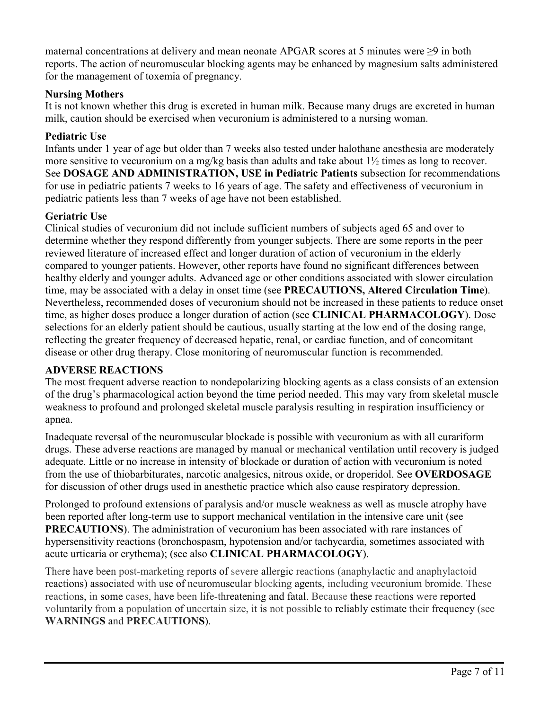maternal concentrations at delivery and mean neonate APGAR scores at 5 minutes were ≥9 in both reports. The action of neuromuscular blocking agents may be enhanced by magnesium salts administered for the management of toxemia of pregnancy.

## **Nursing Mothers**

It is not known whether this drug is excreted in human milk. Because many drugs are excreted in human milk, caution should be exercised when vecuronium is administered to a nursing woman.

### **Pediatric Use**

Infants under 1 year of age but older than 7 weeks also tested under halothane anesthesia are moderately more sensitive to vecuronium on a mg/kg basis than adults and take about 1½ times as long to recover. See **DOSAGE AND ADMINISTRATION, USE in Pediatric Patients** subsection for recommendations for use in pediatric patients 7 weeks to 16 years of age. The safety and effectiveness of vecuronium in pediatric patients less than 7 weeks of age have not been established.

### **Geriatric Use**

Clinical studies of vecuronium did not include sufficient numbers of subjects aged 65 and over to determine whether they respond differently from younger subjects. There are some reports in the peer reviewed literature of increased effect and longer duration of action of vecuronium in the elderly compared to younger patients. However, other reports have found no significant differences between healthy elderly and younger adults. Advanced age or other conditions associated with slower circulation time, may be associated with a delay in onset time (see **PRECAUTIONS, Altered Circulation Time**). Nevertheless, recommended doses of vecuronium should not be increased in these patients to reduce onset time, as higher doses produce a longer duration of action (see **CLINICAL PHARMACOLOGY**). Dose selections for an elderly patient should be cautious, usually starting at the low end of the dosing range, reflecting the greater frequency of decreased hepatic, renal, or cardiac function, and of concomitant disease or other drug therapy. Close monitoring of neuromuscular function is recommended.

## **ADVERSE REACTIONS**

The most frequent adverse reaction to nondepolarizing blocking agents as a class consists of an extension of the drug's pharmacological action beyond the time period needed. This may vary from skeletal muscle weakness to profound and prolonged skeletal muscle paralysis resulting in respiration insufficiency or apnea.

Inadequate reversal of the neuromuscular blockade is possible with vecuronium as with all curariform drugs. These adverse reactions are managed by manual or mechanical ventilation until recovery is judged adequate. Little or no increase in intensity of blockade or duration of action with vecuronium is noted from the use of thiobarbiturates, narcotic analgesics, nitrous oxide, or droperidol. See **OVERDOSAGE** for discussion of other drugs used in anesthetic practice which also cause respiratory depression.

Prolonged to profound extensions of paralysis and/or muscle weakness as well as muscle atrophy have been reported after long-term use to support mechanical ventilation in the intensive care unit (see **PRECAUTIONS**). The administration of vecuronium has been associated with rare instances of hypersensitivity reactions (bronchospasm, hypotension and/or tachycardia, sometimes associated with acute urticaria or erythema); (see also **CLINICAL PHARMACOLOGY**).

There have been post-marketing reports of severe allergic reactions (anaphylactic and anaphylactoid reactions) associated with use of neuromuscular blocking agents, including vecuronium bromide. These reactions, in some cases, have been life-threatening and fatal. Because these reactions were reported voluntarily from a population of uncertain size, it is not possible to reliably estimate their frequency (see **WARNINGS** and **PRECAUTIONS**).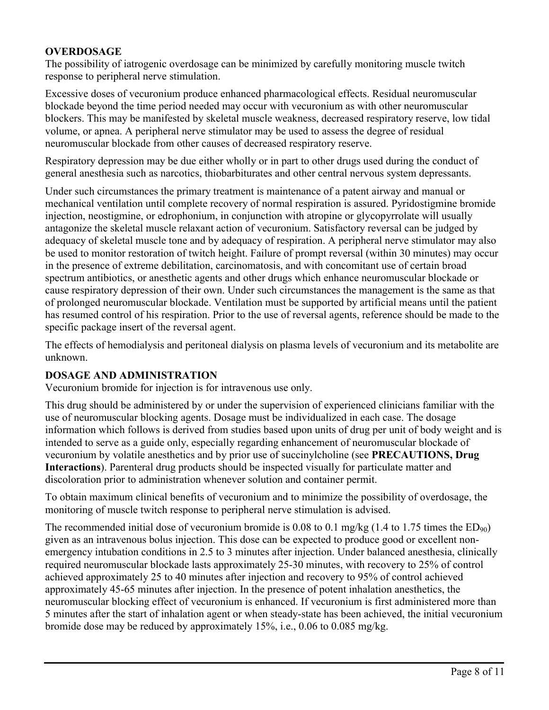### **OVERDOSAGE**

The possibility of iatrogenic overdosage can be minimized by carefully monitoring muscle twitch response to peripheral nerve stimulation.

Excessive doses of vecuronium produce enhanced pharmacological effects. Residual neuromuscular blockade beyond the time period needed may occur with vecuronium as with other neuromuscular blockers. This may be manifested by skeletal muscle weakness, decreased respiratory reserve, low tidal volume, or apnea. A peripheral nerve stimulator may be used to assess the degree of residual neuromuscular blockade from other causes of decreased respiratory reserve.

Respiratory depression may be due either wholly or in part to other drugs used during the conduct of general anesthesia such as narcotics, thiobarbiturates and other central nervous system depressants.

Under such circumstances the primary treatment is maintenance of a patent airway and manual or mechanical ventilation until complete recovery of normal respiration is assured. Pyridostigmine bromide injection, neostigmine, or edrophonium, in conjunction with atropine or glycopyrrolate will usually antagonize the skeletal muscle relaxant action of vecuronium. Satisfactory reversal can be judged by adequacy of skeletal muscle tone and by adequacy of respiration. A peripheral nerve stimulator may also be used to monitor restoration of twitch height. Failure of prompt reversal (within 30 minutes) may occur in the presence of extreme debilitation, carcinomatosis, and with concomitant use of certain broad spectrum antibiotics, or anesthetic agents and other drugs which enhance neuromuscular blockade or cause respiratory depression of their own. Under such circumstances the management is the same as that of prolonged neuromuscular blockade. Ventilation must be supported by artificial means until the patient has resumed control of his respiration. Prior to the use of reversal agents, reference should be made to the specific package insert of the reversal agent.

The effects of hemodialysis and peritoneal dialysis on plasma levels of vecuronium and its metabolite are unknown.

#### **DOSAGE AND ADMINISTRATION**

Vecuronium bromide for injection is for intravenous use only.

This drug should be administered by or under the supervision of experienced clinicians familiar with the use of neuromuscular blocking agents. Dosage must be individualized in each case. The dosage information which follows is derived from studies based upon units of drug per unit of body weight and is intended to serve as a guide only, especially regarding enhancement of neuromuscular blockade of vecuronium by volatile anesthetics and by prior use of succinylcholine (see **PRECAUTIONS, Drug Interactions**). Parenteral drug products should be inspected visually for particulate matter and discoloration prior to administration whenever solution and container permit.

To obtain maximum clinical benefits of vecuronium and to minimize the possibility of overdosage, the monitoring of muscle twitch response to peripheral nerve stimulation is advised.

The recommended initial dose of vecuronium bromide is 0.08 to 0.1 mg/kg (1.4 to 1.75 times the  $ED_{90}$ ) given as an intravenous bolus injection. This dose can be expected to produce good or excellent nonemergency intubation conditions in 2.5 to 3 minutes after injection. Under balanced anesthesia, clinically required neuromuscular blockade lasts approximately 25-30 minutes, with recovery to 25% of control achieved approximately 25 to 40 minutes after injection and recovery to 95% of control achieved approximately 45-65 minutes after injection. In the presence of potent inhalation anesthetics, the neuromuscular blocking effect of vecuronium is enhanced. If vecuronium is first administered more than 5 minutes after the start of inhalation agent or when steady-state has been achieved, the initial vecuronium bromide dose may be reduced by approximately 15%, i.e., 0.06 to 0.085 mg/kg.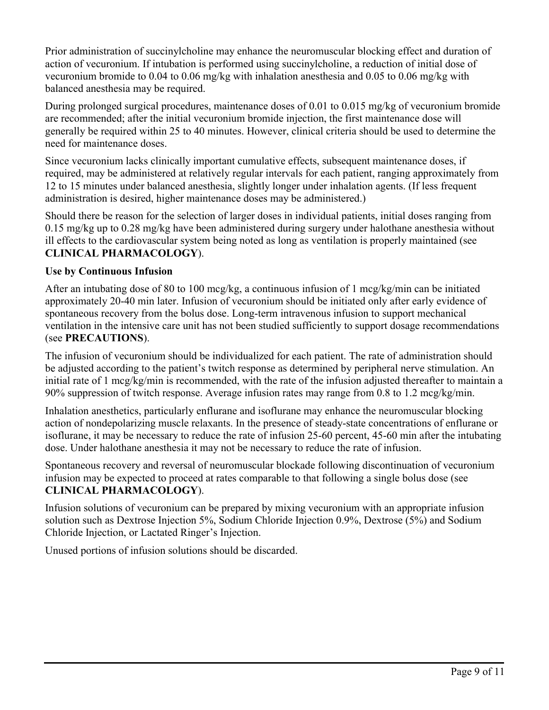Prior administration of succinylcholine may enhance the neuromuscular blocking effect and duration of action of vecuronium. If intubation is performed using succinylcholine, a reduction of initial dose of vecuronium bromide to 0.04 to 0.06 mg/kg with inhalation anesthesia and 0.05 to 0.06 mg/kg with balanced anesthesia may be required.

During prolonged surgical procedures, maintenance doses of 0.01 to 0.015 mg/kg of vecuronium bromide are recommended; after the initial vecuronium bromide injection, the first maintenance dose will generally be required within 25 to 40 minutes. However, clinical criteria should be used to determine the need for maintenance doses.

Since vecuronium lacks clinically important cumulative effects, subsequent maintenance doses, if required, may be administered at relatively regular intervals for each patient, ranging approximately from 12 to 15 minutes under balanced anesthesia, slightly longer under inhalation agents. (If less frequent administration is desired, higher maintenance doses may be administered.)

Should there be reason for the selection of larger doses in individual patients, initial doses ranging from 0.15 mg/kg up to 0.28 mg/kg have been administered during surgery under halothane anesthesia without ill effects to the cardiovascular system being noted as long as ventilation is properly maintained (see **CLINICAL PHARMACOLOGY**).

### **Use by Continuous Infusion**

After an intubating dose of 80 to 100 mcg/kg, a continuous infusion of 1 mcg/kg/min can be initiated approximately 20-40 min later. Infusion of vecuronium should be initiated only after early evidence of spontaneous recovery from the bolus dose. Long-term intravenous infusion to support mechanical ventilation in the intensive care unit has not been studied sufficiently to support dosage recommendations (see **PRECAUTIONS**).

The infusion of vecuronium should be individualized for each patient. The rate of administration should be adjusted according to the patient's twitch response as determined by peripheral nerve stimulation. An initial rate of 1 mcg/kg/min is recommended, with the rate of the infusion adjusted thereafter to maintain a 90% suppression of twitch response. Average infusion rates may range from 0.8 to 1.2 mcg/kg/min.

Inhalation anesthetics, particularly enflurane and isoflurane may enhance the neuromuscular blocking action of nondepolarizing muscle relaxants. In the presence of steady-state concentrations of enflurane or isoflurane, it may be necessary to reduce the rate of infusion 25-60 percent, 45-60 min after the intubating dose. Under halothane anesthesia it may not be necessary to reduce the rate of infusion.

Spontaneous recovery and reversal of neuromuscular blockade following discontinuation of vecuronium infusion may be expected to proceed at rates comparable to that following a single bolus dose (see **CLINICAL PHARMACOLOGY**).

Infusion solutions of vecuronium can be prepared by mixing vecuronium with an appropriate infusion solution such as Dextrose Injection 5%, Sodium Chloride Injection 0.9%, Dextrose (5%) and Sodium Chloride Injection, or Lactated Ringer's Injection.

Unused portions of infusion solutions should be discarded.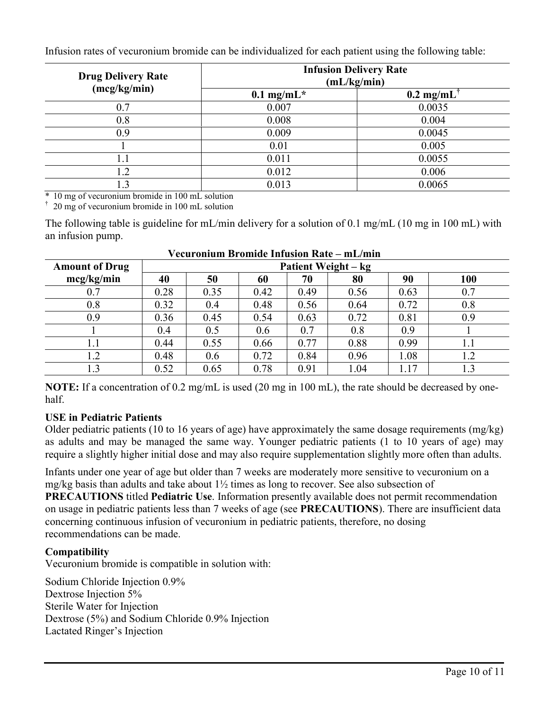Infusion rates of vecuronium bromide can be individualized for each patient using the following table:

| <b>Drug Delivery Rate</b><br>(mcg/kg/min) | <b>Infusion Delivery Rate</b><br>(mL/kg/min) |                     |  |  |  |
|-------------------------------------------|----------------------------------------------|---------------------|--|--|--|
|                                           | $0.1$ mg/mL*                                 | $0.2 \text{ mg/mL}$ |  |  |  |
| 0.7                                       | 0.007                                        | 0.0035              |  |  |  |
| 0.8                                       | 0.008                                        | 0.004               |  |  |  |
| 0.9                                       | 0.009                                        | 0.0045              |  |  |  |
|                                           | 0.01                                         | 0.005               |  |  |  |
|                                           | 0.011                                        | 0.0055              |  |  |  |
| 1.2                                       | 0.012                                        | 0.006               |  |  |  |
| 1 <sup>2</sup>                            | 0.013                                        | 0.0065              |  |  |  |

\* 10 mg of vecuronium bromide in 100 mL solution

† 20 mg of vecuronium bromide in 100 mL solution

The following table is guideline for mL/min delivery for a solution of 0.1 mg/mL (10 mg in 100 mL) with an infusion pump.

|                       |                     | , ссагошаш вгошае ппазюп ганс |      |      | ************ |      |      |
|-----------------------|---------------------|-------------------------------|------|------|--------------|------|------|
| <b>Amount of Drug</b> | Patient Weight – kg |                               |      |      |              |      |      |
| mcg/kg/min            | 40                  | 50                            | 60   | 70   | 80           | 90   | 100  |
| 0.7                   | 0.28                | 0.35                          | 0.42 | 0.49 | 0.56         | 0.63 | 0.7  |
| 0.8                   | 0.32                | 0.4                           | 0.48 | 0.56 | 0.64         | 0.72 | 0.8  |
| 0.9                   | 0.36                | 0.45                          | 0.54 | 0.63 | 0.72         | 0.81 | 0.9  |
|                       | 0.4                 | 0.5                           | 0.6  | 0.7  | 0.8          | 0.9  |      |
|                       | 0.44                | 0.55                          | 0.66 | 0.77 | 0.88         | 0.99 | 1. . |
| 1.2                   | 0.48                | 0.6                           | 0.72 | 0.84 | 0.96         | 1.08 | 1.2  |
| 1.3                   | 0.52                | 0.65                          | 0.78 | 0.91 | 1.04         | 1.17 |      |

### **Vecuronium Bromide Infusion Rate – mL/min**

**NOTE:** If a concentration of 0.2 mg/mL is used (20 mg in 100 mL), the rate should be decreased by onehalf.

#### **USE in Pediatric Patients**

Older pediatric patients (10 to 16 years of age) have approximately the same dosage requirements (mg/kg) as adults and may be managed the same way. Younger pediatric patients (1 to 10 years of age) may require a slightly higher initial dose and may also require supplementation slightly more often than adults.

Infants under one year of age but older than 7 weeks are moderately more sensitive to vecuronium on a mg/kg basis than adults and take about 1½ times as long to recover. See also subsection of

**PRECAUTIONS** titled **Pediatric Use**. Information presently available does not permit recommendation on usage in pediatric patients less than 7 weeks of age (see **PRECAUTIONS**). There are insufficient data concerning continuous infusion of vecuronium in pediatric patients, therefore, no dosing recommendations can be made.

#### **Compatibility**

Vecuronium bromide is compatible in solution with:

Sodium Chloride Injection 0.9% Dextrose Injection 5% Sterile Water for Injection Dextrose (5%) and Sodium Chloride 0.9% Injection Lactated Ringer's Injection